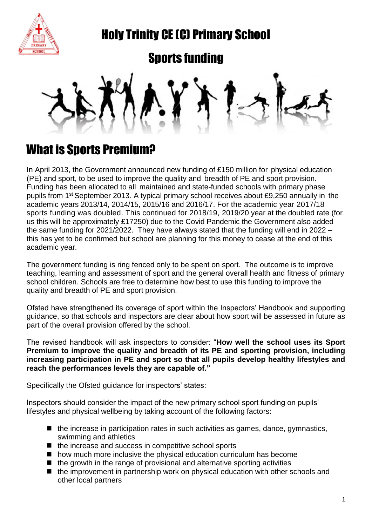

Holy Trinity CE (C) Primary School

### Sports funding

## What is Sports Premium?

In April 2013, the Government announced new funding of £150 million for physical education (PE) and sport, to be used to improve the quality and breadth of PE and sport provision. Funding has been allocated to all maintained and state-funded schools with primary phase pupils from 1<sup>st</sup> September 2013. A typical primary school receives about £9,250 annually in the academic years 2013/14, 2014/15, 2015/16 and 2016/17. For the academic year 2017/18 sports funding was doubled. This continued for 2018/19, 2019/20 year at the doubled rate (for us this will be approximately £17250) due to the Covid Pandemic the Government also added the same funding for 2021/2022. They have always stated that the funding will end in 2022 – this has yet to be confirmed but school are planning for this money to cease at the end of this academic year.

The government funding is ring fenced only to be spent on sport. The outcome is to improve teaching, learning and assessment of sport and the general overall health and fitness of primary school children. Schools are free to determine how best to use this funding to improve the quality and breadth of PE and sport provision.

Ofsted have strengthened its coverage of sport within the Inspectors' Handbook and supporting guidance, so that schools and inspectors are clear about how sport will be assessed in future as part of the overall provision offered by the school.

The revised handbook will ask inspectors to consider: "**How well the school uses its Sport Premium to improve the quality and breadth of its PE and sporting provision, including increasing participation in PE and sport so that all pupils develop healthy lifestyles and reach the performances levels they are capable of."**

Specifically the Ofsted guidance for inspectors' states:

Inspectors should consider the impact of the new primary school sport funding on pupils' lifestyles and physical wellbeing by taking account of the following factors:

- $\blacksquare$  the increase in participation rates in such activities as games, dance, gymnastics, swimming and athletics
- $\blacksquare$  the increase and success in competitive school sports
- how much more inclusive the physical education curriculum has become
- $\blacksquare$  the growth in the range of provisional and alternative sporting activities
- $\blacksquare$  the improvement in partnership work on physical education with other schools and other local partners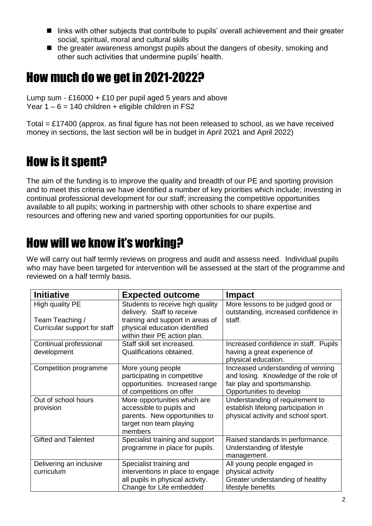- links with other subjects that contribute to pupils' overall achievement and their greater social, spiritual, moral and cultural skills
- $\blacksquare$  the greater awareness amongst pupils about the dangers of obesity, smoking and other such activities that undermine pupils' health.

# How much do we get in 2021-2022?

Lump sum - £16000 + £10 per pupil aged 5 years and above Year  $1 - 6 = 140$  children + eligible children in FS2

Total = £17400 (approx. as final figure has not been released to school, as we have received money in sections, the last section will be in budget in April 2021 and April 2022)

# How is it spent?

The aim of the funding is to improve the quality and breadth of our PE and sporting provision and to meet this criteria we have identified a number of key priorities which include; investing in continual professional development for our staff; increasing the competitive opportunities available to all pupils; working in partnership with other schools to share expertise and resources and offering new and varied sporting opportunities for our pupils.

# How will we know it's working?

We will carry out half termly reviews on progress and audit and assess need. Individual pupils who may have been targeted for intervention will be assessed at the start of the programme and reviewed on a half termly basis.

| <b>Initiative</b>                                  | <b>Expected outcome</b>                                        | <b>Impact</b>                                                             |  |
|----------------------------------------------------|----------------------------------------------------------------|---------------------------------------------------------------------------|--|
| High quality PE                                    | Students to receive high quality<br>delivery. Staff to receive | More lessons to be judged good or<br>outstanding, increased confidence in |  |
| Team Teaching /                                    | training and support in areas of                               | staff.                                                                    |  |
| Curricular support for staff                       | physical education identified                                  |                                                                           |  |
|                                                    | within their PE action plan.                                   |                                                                           |  |
| Continual professional                             | Staff skill set increased.                                     | Increased confidence in staff. Pupils                                     |  |
| development                                        | Qualifications obtained.                                       | having a great experience of                                              |  |
|                                                    |                                                                | physical education.                                                       |  |
| Competition programme                              | More young people                                              | Increased understanding of winning                                        |  |
|                                                    | participating in competitive                                   | and losing. Knowledge of the role of                                      |  |
|                                                    | opportunities. Increased range                                 | fair play and sportsmanship.                                              |  |
|                                                    | of competitions on offer                                       | Opportunities to develop                                                  |  |
| Out of school hours                                | More opportunities which are                                   | Understanding of requirement to                                           |  |
| provision                                          | accessible to pupils and                                       | establish lifelong participation in                                       |  |
|                                                    | parents. New opportunities to                                  | physical activity and school sport.                                       |  |
|                                                    | target non team playing<br>members                             |                                                                           |  |
| <b>Gifted and Talented</b>                         | Specialist training and support                                | Raised standards in performance.                                          |  |
|                                                    | programme in place for pupils.                                 | Understanding of lifestyle                                                |  |
|                                                    |                                                                | management.                                                               |  |
| Delivering an inclusive<br>Specialist training and |                                                                | All young people engaged in                                               |  |
| curriculum                                         | interventions in place to engage                               | physical activity                                                         |  |
|                                                    | all pupils in physical activity.                               | Greater understanding of healthy                                          |  |
|                                                    | Change for Life embedded                                       | lifestyle benefits                                                        |  |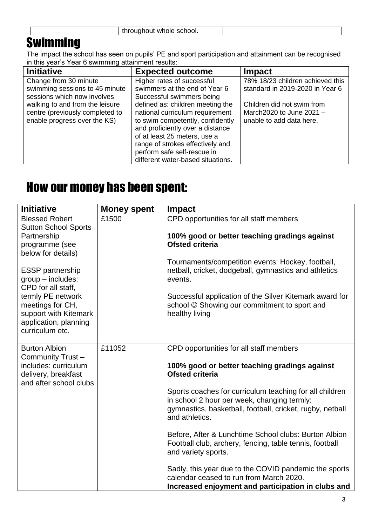#### **Swimming**

The impact the school has seen on pupils' PE and sport participation and attainment can be recognised in this year's Year 6 swimming attainment results:

| <b>Initiative</b>                                                                                                                                                                            | <b>Expected outcome</b>                                                                                                                                                                                                                                                                                                                                                         | <b>Impact</b>                                                                                                                                               |
|----------------------------------------------------------------------------------------------------------------------------------------------------------------------------------------------|---------------------------------------------------------------------------------------------------------------------------------------------------------------------------------------------------------------------------------------------------------------------------------------------------------------------------------------------------------------------------------|-------------------------------------------------------------------------------------------------------------------------------------------------------------|
| Change from 30 minute<br>swimming sessions to 45 minute<br>sessions which now involves<br>walking to and from the leisure<br>centre (previously completed to<br>enable progress over the KS) | Higher rates of successful<br>swimmers at the end of Year 6<br>Successful swimmers being<br>defined as: children meeting the<br>national curriculum requirement<br>to swim competently, confidently<br>and proficiently over a distance<br>of at least 25 meters, use a<br>range of strokes effectively and<br>perform safe self-rescue in<br>different water-based situations. | 78% 18/23 children achieved this<br>standard in 2019-2020 in Year 6<br>Children did not swim from<br>March2020 to June $2021 -$<br>unable to add data here. |
|                                                                                                                                                                                              |                                                                                                                                                                                                                                                                                                                                                                                 |                                                                                                                                                             |

### How our money has been spent:

| <b>Initiative</b>                                                                                          | <b>Money spent</b> | <b>Impact</b>                                                                                                                                                                         |
|------------------------------------------------------------------------------------------------------------|--------------------|---------------------------------------------------------------------------------------------------------------------------------------------------------------------------------------|
| <b>Blessed Robert</b>                                                                                      | £1500              | CPD opportunities for all staff members                                                                                                                                               |
| <b>Sutton School Sports</b><br>Partnership<br>programme (see<br>below for details)                         |                    | 100% good or better teaching gradings against<br><b>Ofsted criteria</b>                                                                                                               |
| <b>ESSP</b> partnership<br>$group$ - includes:<br>CPD for all staff,                                       |                    | Tournaments/competition events: Hockey, football,<br>netball, cricket, dodgeball, gymnastics and athletics<br>events.                                                                 |
| termly PE network<br>meetings for CH,<br>support with Kitemark<br>application, planning<br>curriculum etc. |                    | Successful application of the Silver Kitemark award for<br>school © Showing our commitment to sport and<br>healthy living                                                             |
| <b>Burton Albion</b>                                                                                       | £11052             | CPD opportunities for all staff members                                                                                                                                               |
| Community Trust-<br>includes: curriculum<br>delivery, breakfast<br>and after school clubs                  |                    | 100% good or better teaching gradings against<br><b>Ofsted criteria</b>                                                                                                               |
|                                                                                                            |                    | Sports coaches for curriculum teaching for all children<br>in school 2 hour per week, changing termly:<br>gymnastics, basketball, football, cricket, rugby, netball<br>and athletics. |
|                                                                                                            |                    | Before, After & Lunchtime School clubs: Burton Albion<br>Football club, archery, fencing, table tennis, football<br>and variety sports.                                               |
|                                                                                                            |                    | Sadly, this year due to the COVID pandemic the sports<br>calendar ceased to run from March 2020.<br>Increased enjoyment and participation in clubs and                                |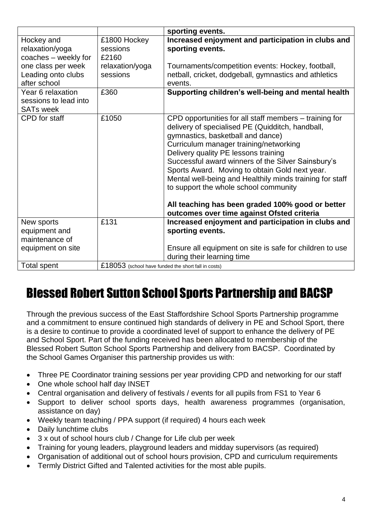|                                                                |                                                     | sporting events.                                                                                                                                                                                                                                                                                                                                                                                                                                                                                                                                 |
|----------------------------------------------------------------|-----------------------------------------------------|--------------------------------------------------------------------------------------------------------------------------------------------------------------------------------------------------------------------------------------------------------------------------------------------------------------------------------------------------------------------------------------------------------------------------------------------------------------------------------------------------------------------------------------------------|
| Hockey and<br>relaxation/yoga<br>coaches - weekly for          | £1800 Hockey<br>sessions<br>£2160                   | Increased enjoyment and participation in clubs and<br>sporting events.                                                                                                                                                                                                                                                                                                                                                                                                                                                                           |
| one class per week<br>Leading onto clubs<br>after school       | relaxation/yoga<br>sessions                         | Tournaments/competition events: Hockey, football,<br>netball, cricket, dodgeball, gymnastics and athletics<br>events.                                                                                                                                                                                                                                                                                                                                                                                                                            |
| Year 6 relaxation<br>sessions to lead into<br><b>SATs week</b> | £360                                                | Supporting children's well-being and mental health                                                                                                                                                                                                                                                                                                                                                                                                                                                                                               |
| CPD for staff                                                  | £1050                                               | CPD opportunities for all staff members – training for<br>delivery of specialised PE (Quidditch, handball,<br>gymnastics, basketball and dance)<br>Curriculum manager training/networking<br>Delivery quality PE lessons training<br>Successful award winners of the Silver Sainsbury's<br>Sports Award. Moving to obtain Gold next year.<br>Mental well-being and Healthily minds training for staff<br>to support the whole school community<br>All teaching has been graded 100% good or better<br>outcomes over time against Ofsted criteria |
| New sports<br>equipment and<br>maintenance of                  | £131                                                | Increased enjoyment and participation in clubs and<br>sporting events.                                                                                                                                                                                                                                                                                                                                                                                                                                                                           |
| equipment on site                                              |                                                     | Ensure all equipment on site is safe for children to use<br>during their learning time                                                                                                                                                                                                                                                                                                                                                                                                                                                           |
| Total spent                                                    | £18053 (school have funded the short fall in costs) |                                                                                                                                                                                                                                                                                                                                                                                                                                                                                                                                                  |

## Blessed Robert Sutton School Sports Partnership and BACSP

Through the previous success of the East Staffordshire School Sports Partnership programme and a commitment to ensure continued high standards of delivery in PE and School Sport, there is a desire to continue to provide a coordinated level of support to enhance the delivery of PE and School Sport. Part of the funding received has been allocated to membership of the Blessed Robert Sutton School Sports Partnership and delivery from BACSP. Coordinated by the School Games Organiser this partnership provides us with:

- Three PE Coordinator training sessions per year providing CPD and networking for our staff
- One whole school half day INSET
- Central organisation and delivery of festivals / events for all pupils from FS1 to Year 6
- Support to deliver school sports days, health awareness programmes (organisation, assistance on day)
- Weekly team teaching / PPA support (if required) 4 hours each week
- Daily lunchtime clubs
- 3 x out of school hours club / Change for Life club per week
- Training for young leaders, playground leaders and midday supervisors (as required)
- Organisation of additional out of school hours provision, CPD and curriculum requirements
- Termly District Gifted and Talented activities for the most able pupils.